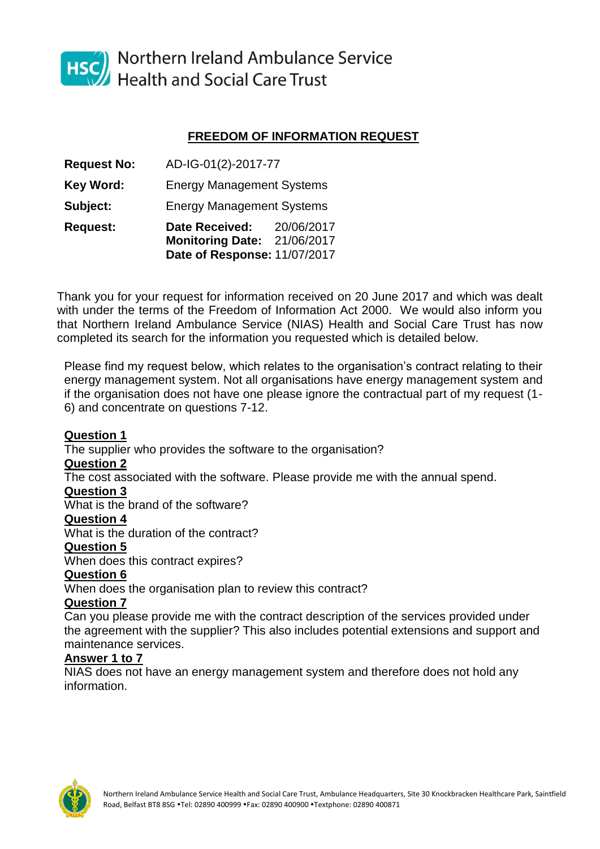

HSC Northern Ireland Ambulance Service<br>Health and Social Care Trust

## **FREEDOM OF INFORMATION REQUEST**

| <b>Request:</b>    | <b>Date Received:</b><br><b>Monitoring Date:</b><br>Date of Response: 11/07/2017 | 20/06/2017<br>21/06/2017 |
|--------------------|----------------------------------------------------------------------------------|--------------------------|
| Subject:           | <b>Energy Management Systems</b>                                                 |                          |
| Key Word:          | <b>Energy Management Systems</b>                                                 |                          |
| <b>Request No:</b> | AD-IG-01(2)-2017-77                                                              |                          |

Thank you for your request for information received on 20 June 2017 and which was dealt with under the terms of the Freedom of Information Act 2000. We would also inform you that Northern Ireland Ambulance Service (NIAS) Health and Social Care Trust has now completed its search for the information you requested which is detailed below.

Please find my request below, which relates to the organisation's contract relating to their energy management system. Not all organisations have energy management system and if the organisation does not have one please ignore the contractual part of my request (1- 6) and concentrate on questions 7-12.

## **Question 1**

The supplier who provides the software to the organisation?

### **Question 2**

The cost associated with the software. Please provide me with the annual spend.

### **Question 3**

What is the brand of the software?

### **Question 4**

What is the duration of the contract?

### **Question 5**

When does this contract expires?

### **Question 6**

When does the organisation plan to review this contract?

### **Question 7**

Can you please provide me with the contract description of the services provided under the agreement with the supplier? This also includes potential extensions and support and maintenance services.

### **Answer 1 to 7**

NIAS does not have an energy management system and therefore does not hold any information.

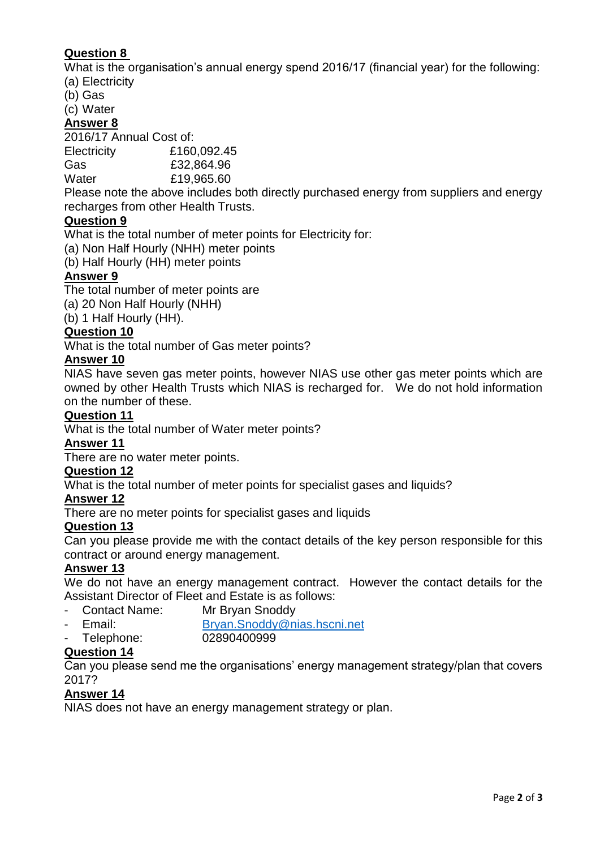# **Question 8**

What is the organisation's annual energy spend 2016/17 (financial year) for the following: (a) Electricity

(b) Gas

(c) Water

### **Answer 8**

2016/17 Annual Cost of:

Electricity £160,092.45

Gas £32,864.96

Water £19,965.60

Please note the above includes both directly purchased energy from suppliers and energy recharges from other Health Trusts.

## **Question 9**

What is the total number of meter points for Electricity for:

(a) Non Half Hourly (NHH) meter points

(b) Half Hourly (HH) meter points

# **Answer 9**

The total number of meter points are

(a) 20 Non Half Hourly (NHH)

(b) 1 Half Hourly (HH).

## **Question 10**

What is the total number of Gas meter points?

## **Answer 10**

NIAS have seven gas meter points, however NIAS use other gas meter points which are owned by other Health Trusts which NIAS is recharged for. We do not hold information on the number of these.

### **Question 11**

What is the total number of Water meter points?

### **Answer 11**

There are no water meter points.

## **Question 12**

What is the total number of meter points for specialist gases and liquids?

## **Answer 12**

There are no meter points for specialist gases and liquids

## **Question 13**

Can you please provide me with the contact details of the key person responsible for this contract or around energy management.

## **Answer 13**

We do not have an energy management contract. However the contact details for the Assistant Director of Fleet and Estate is as follows:

- Contact Name: Mr Bryan Snoddy
- Email: [Bryan.Snoddy@nias.hscni.net](mailto:Bryan.Snoddy@nias.hscni.net)
- Telephone: 02890400999

## **Question 14**

Can you please send me the organisations' energy management strategy/plan that covers 2017?

## **Answer 14**

NIAS does not have an energy management strategy or plan.